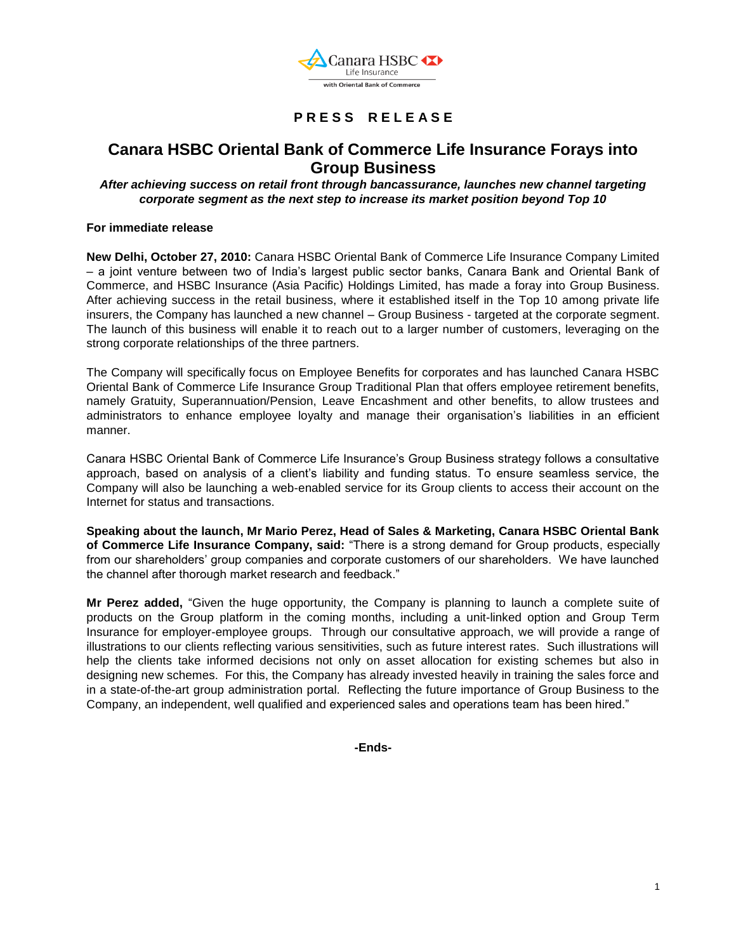

## **P R E S S R E L E A S E**

# **Canara HSBC Oriental Bank of Commerce Life Insurance Forays into Group Business**

#### *After achieving success on retail front through bancassurance, launches new channel targeting corporate segment as the next step to increase its market position beyond Top 10*

#### **For immediate release**

**New Delhi, October 27, 2010:** Canara HSBC Oriental Bank of Commerce Life Insurance Company Limited – a joint venture between two of India"s largest public sector banks, Canara Bank and Oriental Bank of Commerce, and HSBC Insurance (Asia Pacific) Holdings Limited, has made a foray into Group Business. After achieving success in the retail business, where it established itself in the Top 10 among private life insurers, the Company has launched a new channel – Group Business - targeted at the corporate segment. The launch of this business will enable it to reach out to a larger number of customers, leveraging on the strong corporate relationships of the three partners.

The Company will specifically focus on Employee Benefits for corporates and has launched Canara HSBC Oriental Bank of Commerce Life Insurance Group Traditional Plan that offers employee retirement benefits, namely Gratuity, Superannuation/Pension, Leave Encashment and other benefits, to allow trustees and administrators to enhance employee loyalty and manage their organisation"s liabilities in an efficient manner.

Canara HSBC Oriental Bank of Commerce Life Insurance"s Group Business strategy follows a consultative approach, based on analysis of a client"s liability and funding status. To ensure seamless service, the Company will also be launching a web-enabled service for its Group clients to access their account on the Internet for status and transactions.

**Speaking about the launch, Mr Mario Perez, Head of Sales & Marketing, Canara HSBC Oriental Bank of Commerce Life Insurance Company, said:** "There is a strong demand for Group products, especially from our shareholders" group companies and corporate customers of our shareholders. We have launched the channel after thorough market research and feedback."

**Mr Perez added,** "Given the huge opportunity, the Company is planning to launch a complete suite of products on the Group platform in the coming months, including a unit-linked option and Group Term Insurance for employer-employee groups. Through our consultative approach, we will provide a range of illustrations to our clients reflecting various sensitivities, such as future interest rates. Such illustrations will help the clients take informed decisions not only on asset allocation for existing schemes but also in designing new schemes. For this, the Company has already invested heavily in training the sales force and in a state-of-the-art group administration portal. Reflecting the future importance of Group Business to the Company, an independent, well qualified and experienced sales and operations team has been hired."

**-Ends-**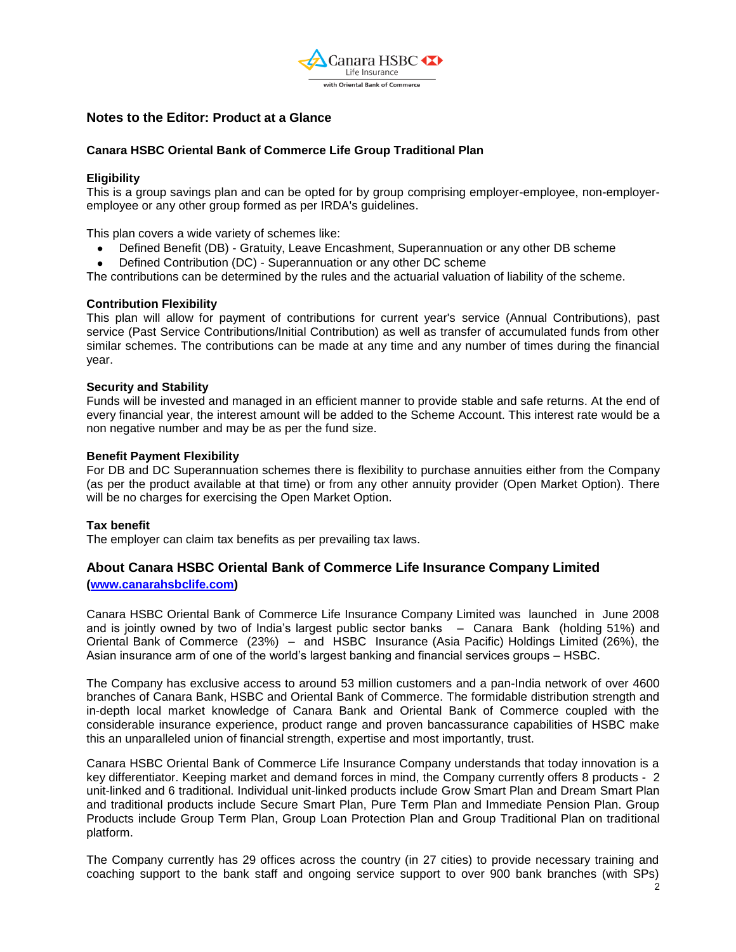

### **Notes to the Editor: Product at a Glance**

#### **Canara HSBC Oriental Bank of Commerce Life Group Traditional Plan**

#### **Eligibility**

This is a group savings plan and can be opted for by group comprising employer-employee, non-employeremployee or any other group formed as per IRDA's guidelines.

This plan covers a wide variety of schemes like:

- Defined Benefit (DB) Gratuity, Leave Encashment, Superannuation or any other DB scheme
- Defined Contribution (DC) Superannuation or any other DC scheme  $\bullet$

The contributions can be determined by the rules and the actuarial valuation of liability of the scheme.

#### **Contribution Flexibility**

This plan will allow for payment of contributions for current year's service (Annual Contributions), past service (Past Service Contributions/Initial Contribution) as well as transfer of accumulated funds from other similar schemes. The contributions can be made at any time and any number of times during the financial year.

#### **Security and Stability**

Funds will be invested and managed in an efficient manner to provide stable and safe returns. At the end of every financial year, the interest amount will be added to the Scheme Account. This interest rate would be a non negative number and may be as per the fund size.

#### **Benefit Payment Flexibility**

For DB and DC Superannuation schemes there is flexibility to purchase annuities either from the Company (as per the product available at that time) or from any other annuity provider (Open Market Option). There will be no charges for exercising the Open Market Option.

#### **Tax benefit**

The employer can claim tax benefits as per prevailing tax laws.

## **About Canara HSBC Oriental Bank of Commerce Life Insurance Company Limited [\(www.canarahsbclife.com\)](http://www.canarahsbclife.com/)**

Canara HSBC Oriental Bank of Commerce Life Insurance Company Limited was launched in June 2008 and is jointly owned by two of India's largest public sector banks – Canara Bank (holding 51%) and Oriental Bank of Commerce (23%) – and HSBC Insurance (Asia Pacific) Holdings Limited (26%), the Asian insurance arm of one of the world"s largest banking and financial services groups – HSBC.

The Company has exclusive access to around 53 million customers and a pan-India network of over 4600 branches of Canara Bank, HSBC and Oriental Bank of Commerce. The formidable distribution strength and in-depth local market knowledge of Canara Bank and Oriental Bank of Commerce coupled with the considerable insurance experience, product range and proven bancassurance capabilities of HSBC make this an unparalleled union of financial strength, expertise and most importantly, trust.

Canara HSBC Oriental Bank of Commerce Life Insurance Company understands that today innovation is a key differentiator. Keeping market and demand forces in mind, the Company currently offers 8 products - 2 unit-linked and 6 traditional. Individual unit-linked products include Grow Smart Plan and Dream Smart Plan and traditional products include Secure Smart Plan, Pure Term Plan and Immediate Pension Plan. Group Products include Group Term Plan, Group Loan Protection Plan and Group Traditional Plan on traditional platform.

The Company currently has 29 offices across the country (in 27 cities) to provide necessary training and coaching support to the bank staff and ongoing service support to over 900 bank branches (with SPs)